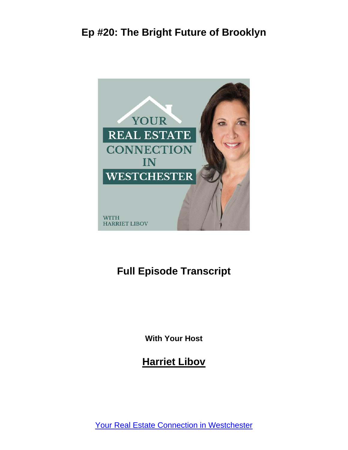

#### **Full Episode Transcript**

**With Your Host**

**Harriet Libov**

[Your Real Estate Connection in Westchester](https://connectnorthofnyc.com/podcast)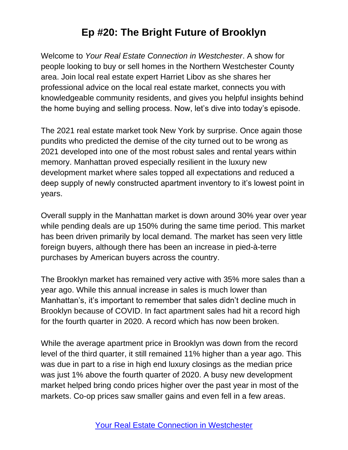Welcome to *Your Real Estate Connection in Westchester*. A show for people looking to buy or sell homes in the Northern Westchester County area. Join local real estate expert Harriet Libov as she shares her professional advice on the local real estate market, connects you with knowledgeable community residents, and gives you helpful insights behind the home buying and selling process. Now, let's dive into today's episode.

The 2021 real estate market took New York by surprise. Once again those pundits who predicted the demise of the city turned out to be wrong as 2021 developed into one of the most robust sales and rental years within memory. Manhattan proved especially resilient in the luxury new development market where sales topped all expectations and reduced a deep supply of newly constructed apartment inventory to it's lowest point in years.

Overall supply in the Manhattan market is down around 30% year over year while pending deals are up 150% during the same time period. This market has been driven primarily by local demand. The market has seen very little foreign buyers, although there has been an increase in pied-à-terre purchases by American buyers across the country.

The Brooklyn market has remained very active with 35% more sales than a year ago. While this annual increase in sales is much lower than Manhattan's, it's important to remember that sales didn't decline much in Brooklyn because of COVID. In fact apartment sales had hit a record high for the fourth quarter in 2020. A record which has now been broken.

While the average apartment price in Brooklyn was down from the record level of the third quarter, it still remained 11% higher than a year ago. This was due in part to a rise in high end luxury closings as the median price was just 1% above the fourth quarter of 2020. A busy new development market helped bring condo prices higher over the past year in most of the markets. Co-op prices saw smaller gains and even fell in a few areas.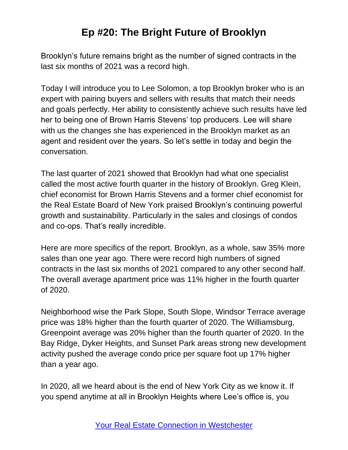Brooklyn's future remains bright as the number of signed contracts in the last six months of 2021 was a record high.

Today I will introduce you to Lee Solomon, a top Brooklyn broker who is an expert with pairing buyers and sellers with results that match their needs and goals perfectly. Her ability to consistently achieve such results have led her to being one of Brown Harris Stevens' top producers. Lee will share with us the changes she has experienced in the Brooklyn market as an agent and resident over the years. So let's settle in today and begin the conversation.

The last quarter of 2021 showed that Brooklyn had what one specialist called the most active fourth quarter in the history of Brooklyn. Greg Klein, chief economist for Brown Harris Stevens and a former chief economist for the Real Estate Board of New York praised Brooklyn's continuing powerful growth and sustainability. Particularly in the sales and closings of condos and co-ops. That's really incredible.

Here are more specifics of the report. Brooklyn, as a whole, saw 35% more sales than one year ago. There were record high numbers of signed contracts in the last six months of 2021 compared to any other second half. The overall average apartment price was 11% higher in the fourth quarter of 2020.

Neighborhood wise the Park Slope, South Slope, Windsor Terrace average price was 18% higher than the fourth quarter of 2020. The Williamsburg, Greenpoint average was 20% higher than the fourth quarter of 2020. In the Bay Ridge, Dyker Heights, and Sunset Park areas strong new development activity pushed the average condo price per square foot up 17% higher than a year ago.

In 2020, all we heard about is the end of New York City as we know it. If you spend anytime at all in Brooklyn Heights where Lee's office is, you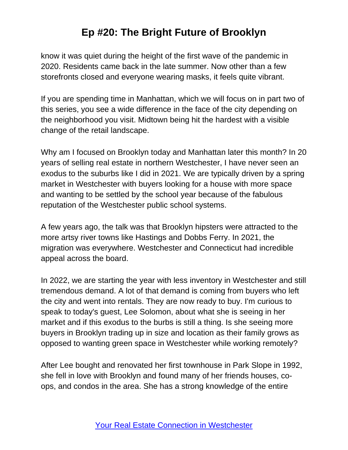know it was quiet during the height of the first wave of the pandemic in 2020. Residents came back in the late summer. Now other than a few storefronts closed and everyone wearing masks, it feels quite vibrant.

If you are spending time in Manhattan, which we will focus on in part two of this series, you see a wide difference in the face of the city depending on the neighborhood you visit. Midtown being hit the hardest with a visible change of the retail landscape.

Why am I focused on Brooklyn today and Manhattan later this month? In 20 years of selling real estate in northern Westchester, I have never seen an exodus to the suburbs like I did in 2021. We are typically driven by a spring market in Westchester with buyers looking for a house with more space and wanting to be settled by the school year because of the fabulous reputation of the Westchester public school systems.

A few years ago, the talk was that Brooklyn hipsters were attracted to the more artsy river towns like Hastings and Dobbs Ferry. In 2021, the migration was everywhere. Westchester and Connecticut had incredible appeal across the board.

In 2022, we are starting the year with less inventory in Westchester and still tremendous demand. A lot of that demand is coming from buyers who left the city and went into rentals. They are now ready to buy. I'm curious to speak to today's guest, Lee Solomon, about what she is seeing in her market and if this exodus to the burbs is still a thing. Is she seeing more buyers in Brooklyn trading up in size and location as their family grows as opposed to wanting green space in Westchester while working remotely?

After Lee bought and renovated her first townhouse in Park Slope in 1992, she fell in love with Brooklyn and found many of her friends houses, coops, and condos in the area. She has a strong knowledge of the entire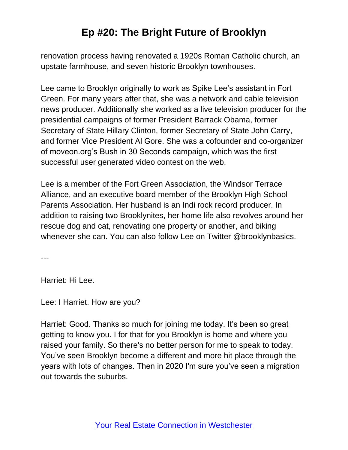renovation process having renovated a 1920s Roman Catholic church, an upstate farmhouse, and seven historic Brooklyn townhouses.

Lee came to Brooklyn originally to work as Spike Lee's assistant in Fort Green. For many years after that, she was a network and cable television news producer. Additionally she worked as a live television producer for the presidential campaigns of former President Barrack Obama, former Secretary of State Hillary Clinton, former Secretary of State John Carry, and former Vice President Al Gore. She was a cofounder and co-organizer of moveon.org's Bush in 30 Seconds campaign, which was the first successful user generated video contest on the web.

Lee is a member of the Fort Green Association, the Windsor Terrace Alliance, and an executive board member of the Brooklyn High School Parents Association. Her husband is an Indi rock record producer. In addition to raising two Brooklynites, her home life also revolves around her rescue dog and cat, renovating one property or another, and biking whenever she can. You can also follow Lee on Twitter @brooklynbasics.

---

Harriet: Hi Lee.

Lee: I Harriet. How are you?

Harriet: Good. Thanks so much for joining me today. It's been so great getting to know you. I for that for you Brooklyn is home and where you raised your family. So there's no better person for me to speak to today. You've seen Brooklyn become a different and more hit place through the years with lots of changes. Then in 2020 I'm sure you've seen a migration out towards the suburbs.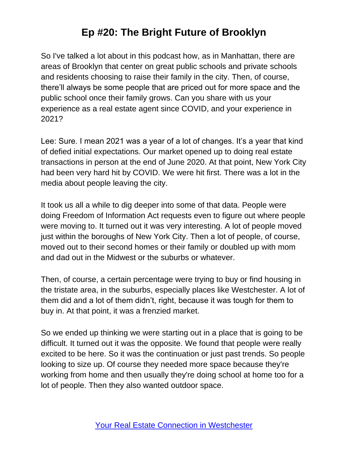So I've talked a lot about in this podcast how, as in Manhattan, there are areas of Brooklyn that center on great public schools and private schools and residents choosing to raise their family in the city. Then, of course, there'll always be some people that are priced out for more space and the public school once their family grows. Can you share with us your experience as a real estate agent since COVID, and your experience in 2021?

Lee: Sure. I mean 2021 was a year of a lot of changes. It's a year that kind of defied initial expectations. Our market opened up to doing real estate transactions in person at the end of June 2020. At that point, New York City had been very hard hit by COVID. We were hit first. There was a lot in the media about people leaving the city.

It took us all a while to dig deeper into some of that data. People were doing Freedom of Information Act requests even to figure out where people were moving to. It turned out it was very interesting. A lot of people moved just within the boroughs of New York City. Then a lot of people, of course, moved out to their second homes or their family or doubled up with mom and dad out in the Midwest or the suburbs or whatever.

Then, of course, a certain percentage were trying to buy or find housing in the tristate area, in the suburbs, especially places like Westchester. A lot of them did and a lot of them didn't, right, because it was tough for them to buy in. At that point, it was a frenzied market.

So we ended up thinking we were starting out in a place that is going to be difficult. It turned out it was the opposite. We found that people were really excited to be here. So it was the continuation or just past trends. So people looking to size up. Of course they needed more space because they're working from home and then usually they're doing school at home too for a lot of people. Then they also wanted outdoor space.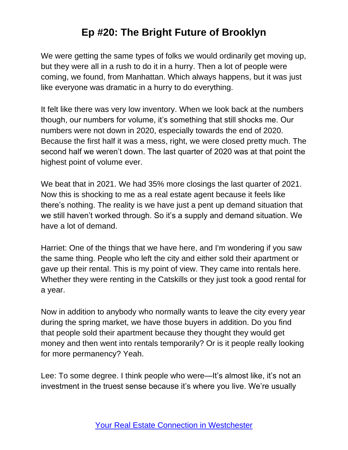We were getting the same types of folks we would ordinarily get moving up, but they were all in a rush to do it in a hurry. Then a lot of people were coming, we found, from Manhattan. Which always happens, but it was just like everyone was dramatic in a hurry to do everything.

It felt like there was very low inventory. When we look back at the numbers though, our numbers for volume, it's something that still shocks me. Our numbers were not down in 2020, especially towards the end of 2020. Because the first half it was a mess, right, we were closed pretty much. The second half we weren't down. The last quarter of 2020 was at that point the highest point of volume ever.

We beat that in 2021. We had 35% more closings the last quarter of 2021. Now this is shocking to me as a real estate agent because it feels like there's nothing. The reality is we have just a pent up demand situation that we still haven't worked through. So it's a supply and demand situation. We have a lot of demand.

Harriet: One of the things that we have here, and I'm wondering if you saw the same thing. People who left the city and either sold their apartment or gave up their rental. This is my point of view. They came into rentals here. Whether they were renting in the Catskills or they just took a good rental for a year.

Now in addition to anybody who normally wants to leave the city every year during the spring market, we have those buyers in addition. Do you find that people sold their apartment because they thought they would get money and then went into rentals temporarily? Or is it people really looking for more permanency? Yeah.

Lee: To some degree. I think people who were—It's almost like, it's not an investment in the truest sense because it's where you live. We're usually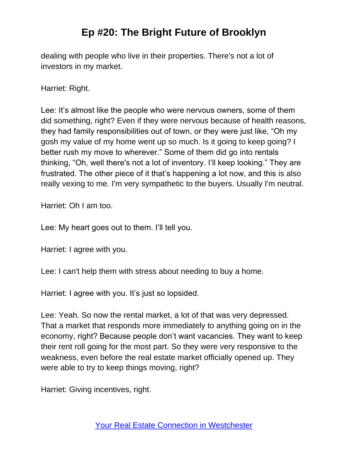dealing with people who live in their properties. There's not a lot of investors in my market.

Harriet: Right.

Lee: It's almost like the people who were nervous owners, some of them did something, right? Even if they were nervous because of health reasons, they had family responsibilities out of town, or they were just like, "Oh my gosh my value of my home went up so much. Is it going to keep going? I better rush my move to wherever." Some of them did go into rentals thinking, "Oh, well there's not a lot of inventory. I'll keep looking." They are frustrated. The other piece of it that's happening a lot now, and this is also really vexing to me. I'm very sympathetic to the buyers. Usually I'm neutral.

Harriet: Oh I am too.

Lee: My heart goes out to them. I'll tell you.

Harriet: I agree with you.

Lee: I can't help them with stress about needing to buy a home.

Harriet: I agree with you. It's just so lopsided.

Lee: Yeah. So now the rental market, a lot of that was very depressed. That a market that responds more immediately to anything going on in the economy, right? Because people don't want vacancies. They want to keep their rent roll going for the most part. So they were very responsive to the weakness, even before the real estate market officially opened up. They were able to try to keep things moving, right?

Harriet: Giving incentives, right.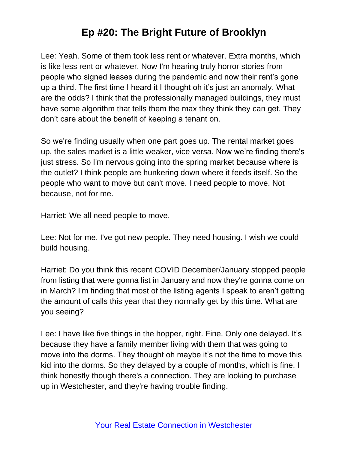Lee: Yeah. Some of them took less rent or whatever. Extra months, which is like less rent or whatever. Now I'm hearing truly horror stories from people who signed leases during the pandemic and now their rent's gone up a third. The first time I heard it I thought oh it's just an anomaly. What are the odds? I think that the professionally managed buildings, they must have some algorithm that tells them the max they think they can get. They don't care about the benefit of keeping a tenant on.

So we're finding usually when one part goes up. The rental market goes up, the sales market is a little weaker, vice versa. Now we're finding there's just stress. So I'm nervous going into the spring market because where is the outlet? I think people are hunkering down where it feeds itself. So the people who want to move but can't move. I need people to move. Not because, not for me.

Harriet: We all need people to move.

Lee: Not for me. I've got new people. They need housing. I wish we could build housing.

Harriet: Do you think this recent COVID December/January stopped people from listing that were gonna list in January and now they're gonna come on in March? I'm finding that most of the listing agents I speak to aren't getting the amount of calls this year that they normally get by this time. What are you seeing?

Lee: I have like five things in the hopper, right. Fine. Only one delayed. It's because they have a family member living with them that was going to move into the dorms. They thought oh maybe it's not the time to move this kid into the dorms. So they delayed by a couple of months, which is fine. I think honestly though there's a connection. They are looking to purchase up in Westchester, and they're having trouble finding.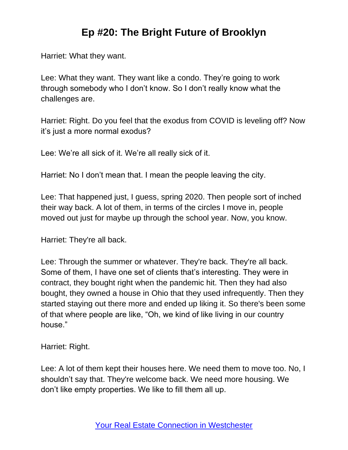Harriet: What they want.

Lee: What they want. They want like a condo. They're going to work through somebody who I don't know. So I don't really know what the challenges are.

Harriet: Right. Do you feel that the exodus from COVID is leveling off? Now it's just a more normal exodus?

Lee: We're all sick of it. We're all really sick of it.

Harriet: No I don't mean that. I mean the people leaving the city.

Lee: That happened just, I guess, spring 2020. Then people sort of inched their way back. A lot of them, in terms of the circles I move in, people moved out just for maybe up through the school year. Now, you know.

Harriet: They're all back.

Lee: Through the summer or whatever. They're back. They're all back. Some of them, I have one set of clients that's interesting. They were in contract, they bought right when the pandemic hit. Then they had also bought, they owned a house in Ohio that they used infrequently. Then they started staying out there more and ended up liking it. So there's been some of that where people are like, "Oh, we kind of like living in our country house."

Harriet: Right.

Lee: A lot of them kept their houses here. We need them to move too. No, I shouldn't say that. They're welcome back. We need more housing. We don't like empty properties. We like to fill them all up.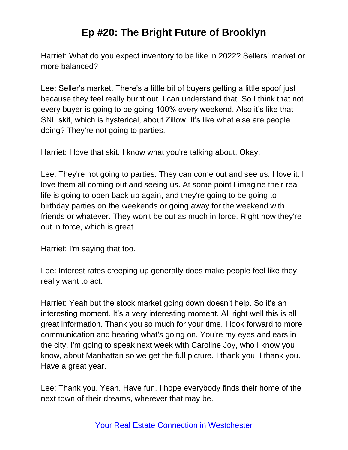Harriet: What do you expect inventory to be like in 2022? Sellers' market or more balanced?

Lee: Seller's market. There's a little bit of buyers getting a little spoof just because they feel really burnt out. I can understand that. So I think that not every buyer is going to be going 100% every weekend. Also it's like that SNL skit, which is hysterical, about Zillow. It's like what else are people doing? They're not going to parties.

Harriet: I love that skit. I know what you're talking about. Okay.

Lee: They're not going to parties. They can come out and see us. I love it. I love them all coming out and seeing us. At some point I imagine their real life is going to open back up again, and they're going to be going to birthday parties on the weekends or going away for the weekend with friends or whatever. They won't be out as much in force. Right now they're out in force, which is great.

Harriet: I'm saying that too.

Lee: Interest rates creeping up generally does make people feel like they really want to act.

Harriet: Yeah but the stock market going down doesn't help. So it's an interesting moment. It's a very interesting moment. All right well this is all great information. Thank you so much for your time. I look forward to more communication and hearing what's going on. You're my eyes and ears in the city. I'm going to speak next week with Caroline Joy, who I know you know, about Manhattan so we get the full picture. I thank you. I thank you. Have a great year.

Lee: Thank you. Yeah. Have fun. I hope everybody finds their home of the next town of their dreams, wherever that may be.